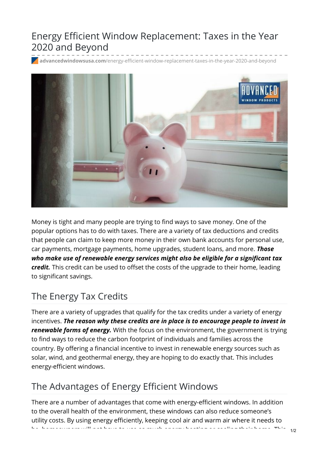## Energy Efficient Window Replacement: Taxes in the Year 2020 and Beyond

**advancedwindowsusa.com**[/energy-efficient-window-replacement-taxes-in-the-year-2020-and-beyond](https://advancedwindowsusa.com/energy-efficient-window-replacement-taxes-in-the-year-2020-and-beyond)



Money is tight and many people are trying to find ways to save money. One of the popular options has to do with taxes. There are a variety of tax deductions and credits that people can claim to keep more money in their own bank accounts for personal use, car payments, mortgage payments, home upgrades, student loans, and more. *Those who make use of renewable energy services might also be eligible for a significant tax credit.* This credit can be used to offset the costs of the upgrade to their home, leading to significant savings.

### The Energy Tax Credits

There are a variety of upgrades that qualify for the tax credits under a variety of energy incentives. *The reason why these credits are in place is to encourage people to invest in renewable forms of energy.* With the focus on the environment, the government is trying to find ways to reduce the carbon footprint of individuals and families across the country. By offering a financial incentive to invest in renewable energy sources such as solar, wind, and geothermal energy, they are hoping to do exactly that. This includes energy-efficient windows.

#### The Advantages of Energy Efficient Windows

There are a number of advantages that come with energy-efficient windows. In addition to the overall health of the environment, these windows can also reduce someone's utility costs. By using energy efficiently, keeping cool air and warm air where it needs to be, homeowners will not have to use as much energy heating or cooling their home. This 1/2